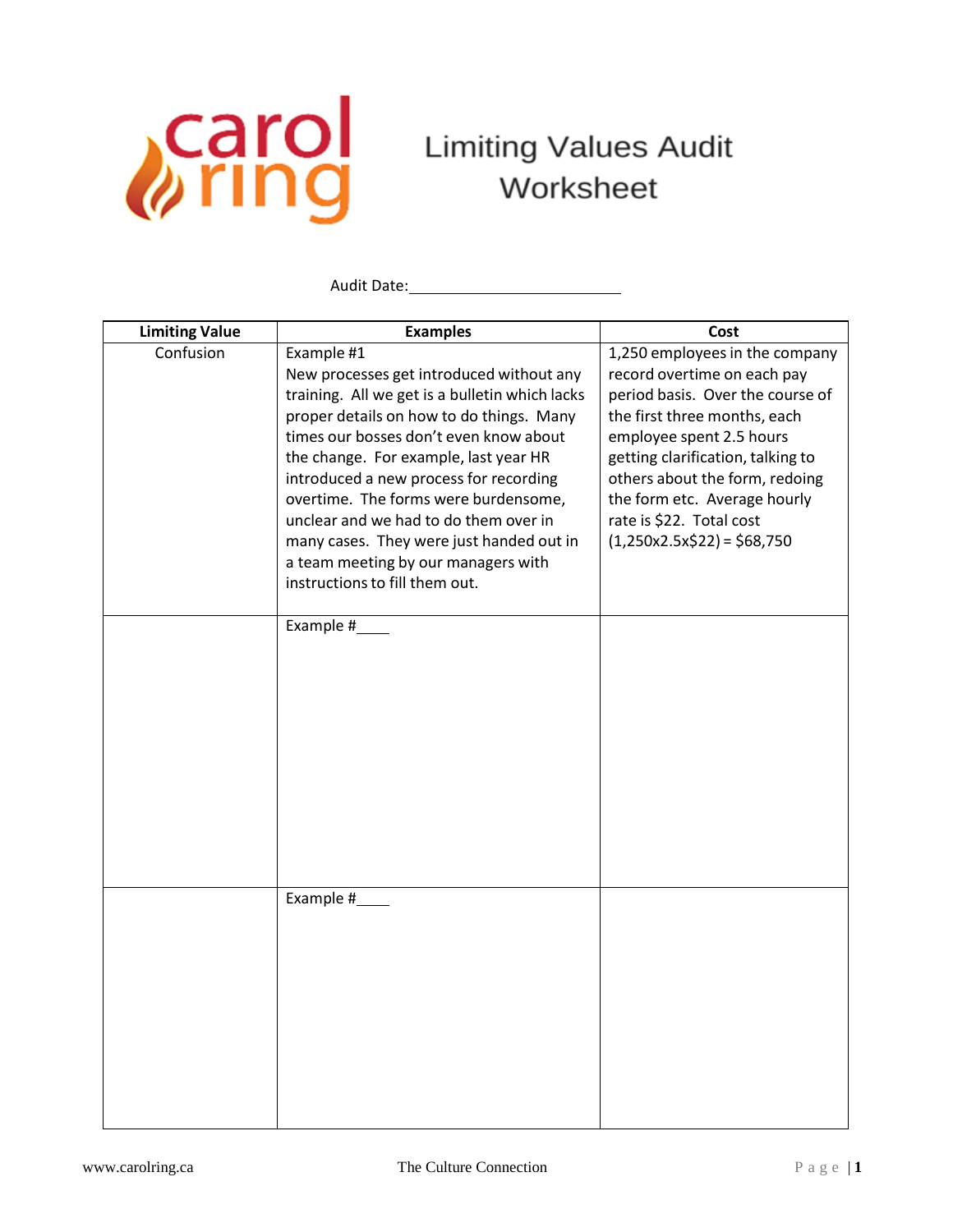

Audit Date:

| <b>Limiting Value</b> | <b>Examples</b>                                                                                                                                                                                                                                                                                                                                                                                                                                                                         | Cost                                                                                                                                                                                                                                                                                                                            |
|-----------------------|-----------------------------------------------------------------------------------------------------------------------------------------------------------------------------------------------------------------------------------------------------------------------------------------------------------------------------------------------------------------------------------------------------------------------------------------------------------------------------------------|---------------------------------------------------------------------------------------------------------------------------------------------------------------------------------------------------------------------------------------------------------------------------------------------------------------------------------|
| Confusion             | Example #1<br>New processes get introduced without any<br>training. All we get is a bulletin which lacks<br>proper details on how to do things. Many<br>times our bosses don't even know about<br>the change. For example, last year HR<br>introduced a new process for recording<br>overtime. The forms were burdensome,<br>unclear and we had to do them over in<br>many cases. They were just handed out in<br>a team meeting by our managers with<br>instructions to fill them out. | 1,250 employees in the company<br>record overtime on each pay<br>period basis. Over the course of<br>the first three months, each<br>employee spent 2.5 hours<br>getting clarification, talking to<br>others about the form, redoing<br>the form etc. Average hourly<br>rate is \$22. Total cost<br>$(1,250x2.5x$22) = $68,750$ |
|                       | Example #_____                                                                                                                                                                                                                                                                                                                                                                                                                                                                          |                                                                                                                                                                                                                                                                                                                                 |
|                       | Example #                                                                                                                                                                                                                                                                                                                                                                                                                                                                               |                                                                                                                                                                                                                                                                                                                                 |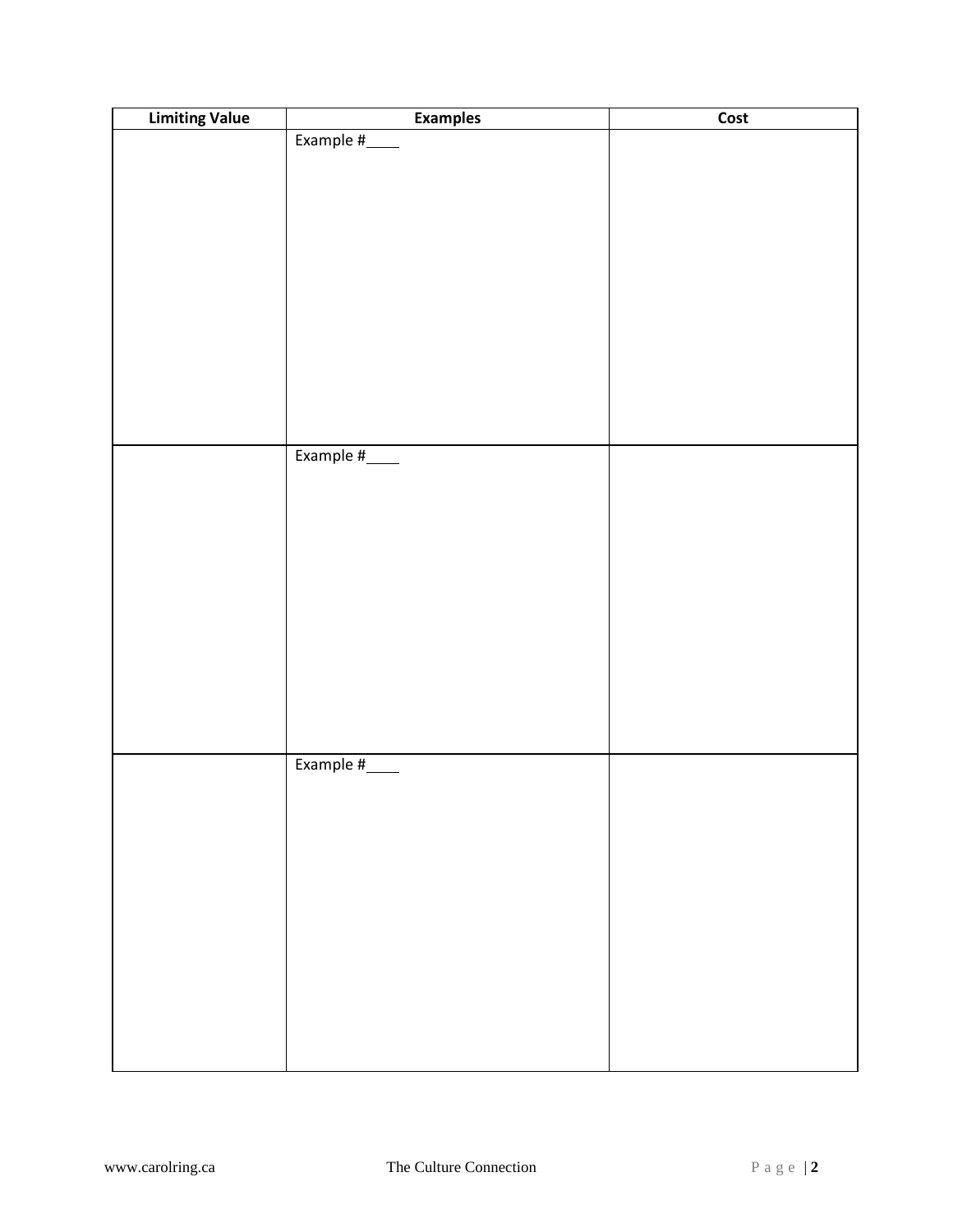| <b>Limiting Value</b> | <b>Examples</b> | Cost |
|-----------------------|-----------------|------|
|                       | Example #____   |      |
|                       |                 |      |
|                       |                 |      |
|                       |                 |      |
|                       |                 |      |
|                       |                 |      |
|                       |                 |      |
|                       |                 |      |
|                       |                 |      |
|                       |                 |      |
|                       |                 |      |
|                       |                 |      |
|                       | Example #____   |      |
|                       |                 |      |
|                       |                 |      |
|                       |                 |      |
|                       |                 |      |
|                       |                 |      |
|                       |                 |      |
|                       |                 |      |
|                       |                 |      |
|                       |                 |      |
|                       |                 |      |
|                       |                 |      |
|                       | Example #____   |      |
|                       |                 |      |
|                       |                 |      |
|                       |                 |      |
|                       |                 |      |
|                       |                 |      |
|                       |                 |      |
|                       |                 |      |
|                       |                 |      |
|                       |                 |      |
|                       |                 |      |
|                       |                 |      |
|                       |                 |      |